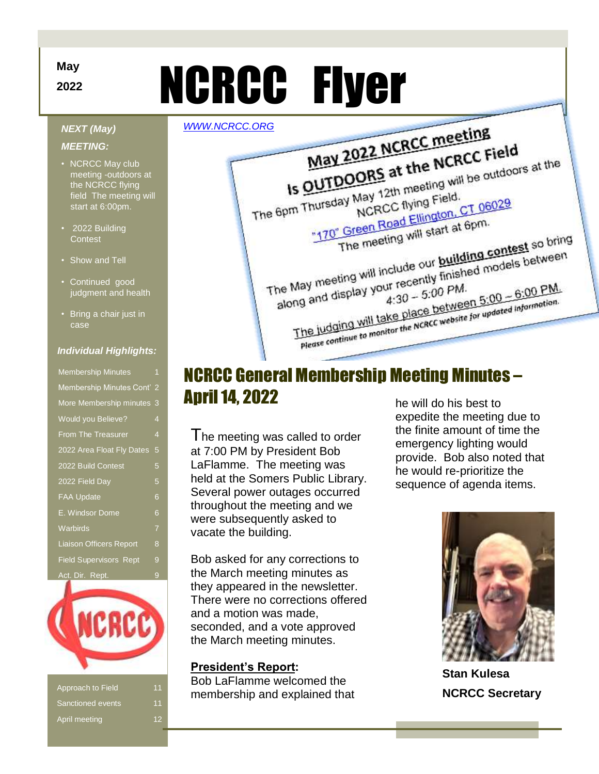# **2022 NCRCC Flyer**

### *NEXT (May)*

### *MEETING:*

- NCRCC May club meeting -outdoors at the NCRCC flying field The meeting will start at 6:00pm.
- 2022 Building **Contest**
- Show and Tell
- Continued good judgment and health
- Bring a chair just in case

### *Individual Highlights:*

| <b>Membership Minutes</b>      | 1              |
|--------------------------------|----------------|
| Membership Minutes Cont' 2     |                |
| More Membership minutes        | 3              |
| Would you Believe?             | $\overline{4}$ |
| <b>From The Treasurer</b>      | $\overline{4}$ |
| 2022 Area Float Fly Dates      | 5              |
| 2022 Build Contest             | 5              |
| 2022 Field Day                 | 5              |
| <b>FAA Update</b>              | 6              |
| E. Windsor Dome                | 6              |
| Warbirds                       | $\overline{7}$ |
| <b>Liaison Officers Report</b> | 8              |
| <b>Field Supervisors Rept</b>  | 9              |
| Act. Dir. Rept.                | 9              |



| Approach to Field | 11 |
|-------------------|----|
| Sanctioned events | 11 |
| April meeting     |    |



# NCRCC General Membership Meeting Minutes – April 14, 2022 he will do his best to

I he meeting was called to order at 7:00 PM by President Bob LaFlamme. The meeting was held at the Somers Public Library. Several power outages occurred throughout the meeting and we were subsequently asked to vacate the building.

Bob asked for any corrections to the March meeting minutes as they appeared in the newsletter. There were no corrections offered and a motion was made, seconded, and a vote approved the March meeting minutes.

### **President's Report:**

Bob LaFlamme welcomed the membership and explained that expedite the meeting due to the finite amount of time the emergency lighting would provide. Bob also noted that he would re-prioritize the sequence of agenda items.



**Stan Kulesa NCRCC Secretary** 

# **May**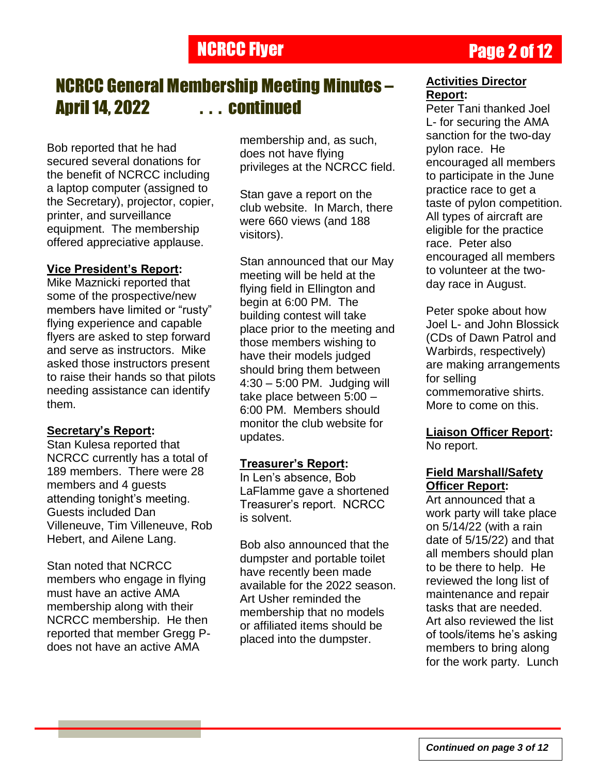# **NCRCC Flyer Page 2 of 12**

# NCRCC General Membership Meeting Minutes – April 14, 2022 . . . continued

Bob reported that he had secured several donations for the benefit of NCRCC including a laptop computer (assigned to the Secretary), projector, copier, printer, and surveillance equipment. The membership offered appreciative applause.

## **Vice President's Report:**

Mike Maznicki reported that some of the prospective/new members have limited or "rusty" flying experience and capable flyers are asked to step forward and serve as instructors. Mike asked those instructors present to raise their hands so that pilots needing assistance can identify them.

## **Secretary's Report:**

Stan Kulesa reported that NCRCC currently has a total of 189 members. There were 28 members and 4 quests attending tonight's meeting. Guests included Dan Villeneuve, Tim Villeneuve, Rob Hebert, and Ailene Lang.

Stan noted that NCRCC members who engage in flying must have an active AMA membership along with their NCRCC membership. He then reported that member Gregg Pdoes not have an active AMA

membership and, as such, does not have flying privileges at the NCRCC field.

Stan gave a report on the club website. In March, there were 660 views (and 188 visitors).

Stan announced that our May meeting will be held at the flying field in Ellington and begin at 6:00 PM. The building contest will take place prior to the meeting and those members wishing to have their models judged should bring them between 4:30 – 5:00 PM. Judging will take place between 5:00 – 6:00 PM. Members should monitor the club website for updates.

## **Treasurer's Report:**

In Len"s absence, Bob LaFlamme gave a shortened Treasurer"s report. NCRCC is solvent.

Bob also announced that the dumpster and portable toilet have recently been made available for the 2022 season. Art Usher reminded the membership that no models or affiliated items should be placed into the dumpster.

### **Activities Director Report:**

Peter Tani thanked Joel L- for securing the AMA sanction for the two-day pylon race. He encouraged all members to participate in the June practice race to get a taste of pylon competition. All types of aircraft are eligible for the practice race. Peter also encouraged all members to volunteer at the twoday race in August.

Peter spoke about how Joel L- and John Blossick (CDs of Dawn Patrol and Warbirds, respectively) are making arrangements for selling commemorative shirts. More to come on this.

# **Liaison Officer Report:**

No report.

### **Field Marshall/Safety Officer Report:**

Art announced that a work party will take place on 5/14/22 (with a rain date of 5/15/22) and that all members should plan to be there to help. He reviewed the long list of maintenance and repair tasks that are needed. Art also reviewed the list of tools/items he"s asking members to bring along for the work party. Lunch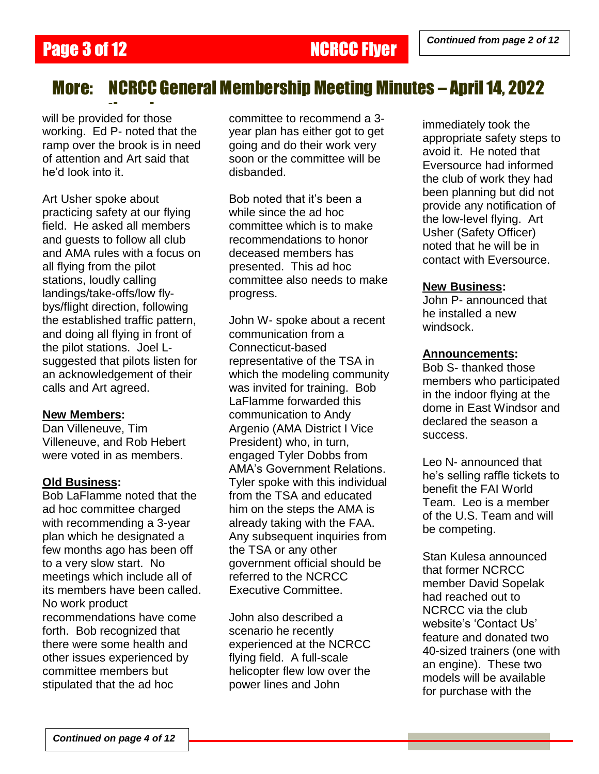# More: NCRCC General Membership Meeting Minutes – April 14, 2022

--<br>will be provided for those working. Ed P- noted that the ramp over the brook is in need of attention and Art said that he"d look into it.

Art Usher spoke about practicing safety at our flying field. He asked all members and guests to follow all club and AMA rules with a focus on all flying from the pilot stations, loudly calling landings/take-offs/low flybys/flight direction, following the established traffic pattern, and doing all flying in front of the pilot stations. Joel Lsuggested that pilots listen for an acknowledgement of their calls and Art agreed.

### **New Members:**

Dan Villeneuve, Tim Villeneuve, and Rob Hebert were voted in as members.

### **Old Business:**

Bob LaFlamme noted that the ad hoc committee charged with recommending a 3-year plan which he designated a few months ago has been off to a very slow start. No meetings which include all of its members have been called. No work product recommendations have come forth. Bob recognized that there were some health and other issues experienced by committee members but stipulated that the ad hoc

committee to recommend a 3 year plan has either got to get going and do their work very soon or the committee will be disbanded.

Bob noted that it"s been a while since the ad hoc committee which is to make recommendations to honor deceased members has presented. This ad hoc committee also needs to make progress.

John W- spoke about a recent communication from a Connecticut-based representative of the TSA in which the modeling community was invited for training. Bob LaFlamme forwarded this communication to Andy Argenio (AMA District I Vice President) who, in turn, engaged Tyler Dobbs from AMA"s Government Relations. Tyler spoke with this individual from the TSA and educated him on the steps the AMA is already taking with the FAA. Any subsequent inquiries from the TSA or any other government official should be referred to the NCRCC Executive Committee.

John also described a scenario he recently experienced at the NCRCC flying field. A full-scale helicopter flew low over the power lines and John

immediately took the appropriate safety steps to avoid it. He noted that Eversource had informed the club of work they had been planning but did not provide any notification of the low-level flying. Art Usher (Safety Officer) noted that he will be in contact with Eversource.

### **New Business:**

John P- announced that he installed a new windsock.

### **Announcements:**

Bob S- thanked those members who participated in the indoor flying at the dome in East Windsor and declared the season a success.

Leo N- announced that he"s selling raffle tickets to benefit the FAI World Team. Leo is a member of the U.S. Team and will be competing.

Stan Kulesa announced that former NCRCC member David Sopelak had reached out to NCRCC via the club website's 'Contact Us' feature and donated two 40-sized trainers (one with an engine). These two models will be available for purchase with the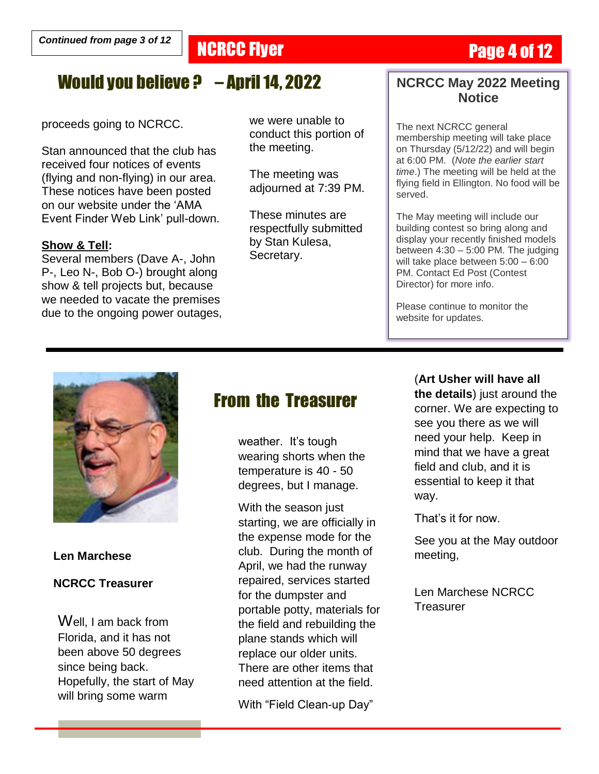# **NCRCC Flyer Page 4 of 12**

# Would you believe ? – April 14, 2022

proceeds going to NCRCC.

Stan announced that the club has received four notices of events (flying and non-flying) in our area. These notices have been posted on our website under the "AMA Event Finder Web Link" pull-down.

### **Show & Tell:**

Several members (Dave A-, John P-, Leo N-, Bob O-) brought along show & tell projects but, because we needed to vacate the premises due to the ongoing power outages, we were unable to conduct this portion of the meeting.

The meeting was adjourned at 7:39 PM.

These minutes are respectfully submitted by Stan Kulesa, Secretary.

# **NCRCC May 2022 Meeting Notice**

The next NCRCC general membership meeting will take place on Thursday (5/12/22) and will begin at 6:00 PM. (*Note the earlier start time*.) The meeting will be held at the flying field in Ellington. No food will be served.

The May meeting will include our building contest so bring along and display your recently finished models between 4:30 – 5:00 PM. The judging will take place between 5:00 – 6:00 PM. Contact Ed Post (Contest Director) for more info.

Please continue to monitor the website for updates.



### **Len Marchese**

### **NCRCC Treasurer**

Well, I am back from Florida, and it has not been above 50 degrees since being back. Hopefully, the start of May will bring some warm

# From the Treasurer

weather. It's tough wearing shorts when the temperature is 40 - 50 degrees, but I manage.

With the season just starting, we are officially in the expense mode for the club. During the month of April, we had the runway repaired, services started for the dumpster and portable potty, materials for the field and rebuilding the plane stands which will replace our older units. There are other items that need attention at the field.

With "Field Clean-up Day"

(**Art Usher will have all the details**) just around the corner. We are expecting to see you there as we will need your help. Keep in mind that we have a great field and club, and it is essential to keep it that way.

That"s it for now.

See you at the May outdoor meeting,

Len Marchese NCRCC **Treasurer**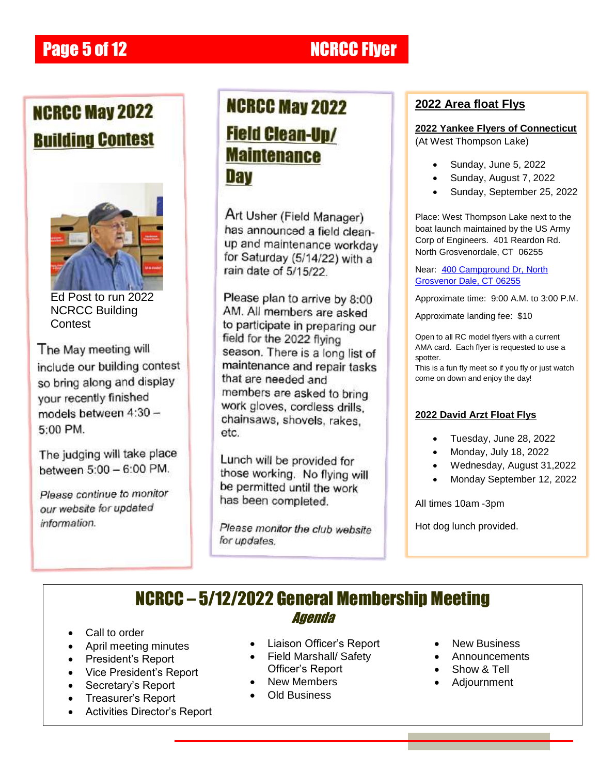# **Page 5 of 12 NCRCC Fiver**

# **NCRCC May 2022 Building Contest**



Ed Post to run 2022 NCRCC Building **Contest** 

The May meeting will include our building contest so bring along and display your recently finished models between 4:30 -5:00 PM.

The judging will take place between 5:00 - 6:00 PM.

Please continue to monitor our website for updated information.

# **NCRCC May 2022 Field Clean-Up/ Maintenance** Dav

Art Usher (Field Manager) has announced a field cleanup and maintenance workday for Saturday (5/14/22) with a rain date of 5/15/22

Please plan to arrive by 8:00 AM. All members are asked to participate in preparing our field for the 2022 flying season. There is a long list of maintenance and repair tasks that are needed and members are asked to bring work gloves, cordless drills. chainsaws, shovels, rakes, etc.

Lunch will be provided for those working. No flying will be permitted until the work has been completed.

Please monitor the club website for updates.

# **2022 Area float Flys**

**2022 Yankee Flyers of Connecticut**  (At West Thompson Lake)

- Sunday, June 5, 2022
- Sunday, August 7, 2022
- Sunday, September 25, 2022

Place: West Thompson Lake next to the boat launch maintained by the US Army Corp of Engineers. 401 Reardon Rd. North Grosvenordale, CT 06255

Near: 400 Campground Dr, North [Grosvenor Dale, CT 06255](https://www.google.com/maps/search/400+Campground+Dr,+North+Grosvenor+Dale,+CT+06255401+Reardon+Rd.+North+Grosvenordale,+CT++06255/@41.953477,-71.8981647,381m/data=!3m1!1e3)

Approximate time: 9:00 A.M. to 3:00 P.M.

Approximate landing fee: \$10

Open to all RC model flyers with a current AMA card. Each flyer is requested to use a spotter.

This is a fun fly meet so if you fly or just watch come on down and enjoy the day!

### **2022 David Arzt Float Flys**

- Tuesday, June 28, 2022
- Monday, July 18, 2022
- Wednesday, August 31,2022
- Monday September 12, 2022

All times 10am -3pm

Hot dog lunch provided.

# NCRCC – 5/12/2022 General Membership Meeting Agenda

- Call to order
- April meeting minutes
- President's Report
- Vice President's Report
- Secretary's Report
- Treasurer"s Report
- Activities Director"s Report
- Liaison Officer's Report
- Field Marshall/ Safety Officer"s Report
- New Members
- Old Business
- New Business
- Announcements
- Show & Tell
- Adjournment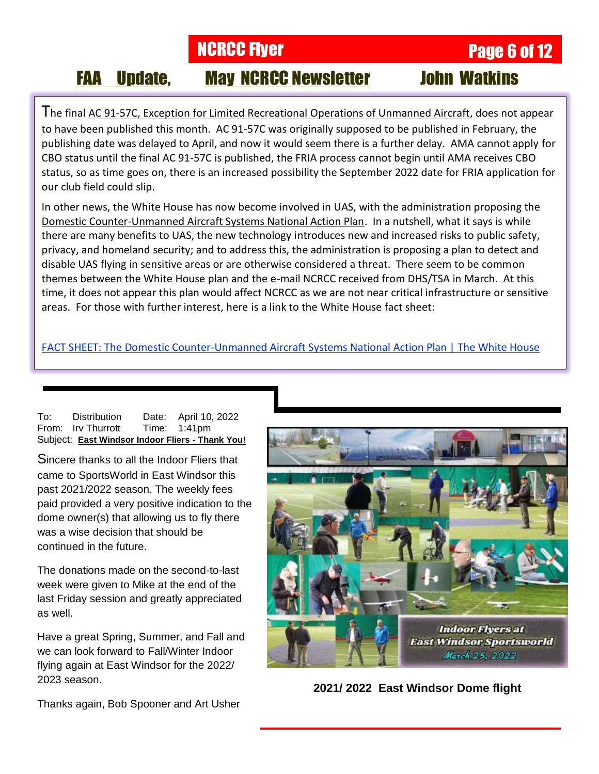**NCRCC Flyer Page 6 of 12** 

# FAA Update, May NCRCC Newsletter John Watkins

The final AC 91-57C, Exception for Limited Recreational Operations of Unmanned Aircraft, does not appear to have been published this month. AC 91-57C was originally supposed to be published in February, the publishing date was delayed to April, and now it would seem there is a further delay. AMA cannot apply for CBO status until the final AC 91-57C is published, the FRIA process cannot begin until AMA receives CBO status, so as time goes on, there is an increased possibility the September 2022 date for FRIA application for our club field could slip.

In other news, the White House has now become involved in UAS, with the administration proposing the Domestic Counter-Unmanned Aircraft Systems National Action Plan. In a nutshell, what it says is while there are many benefits to UAS, the new technology introduces new and increased risks to public safety, privacy, and homeland security; and to address this, the administration is proposing a plan to detect and disable UAS flying in sensitive areas or are otherwise considered a threat. There seem to be common themes between the White House plan and the e-mail NCRCC received from DHS/TSA in March. At this time, it does not appear this plan would affect NCRCC as we are not near critical infrastructure or sensitive areas. For those with further interest, here is a link to the White House fact sheet:

[FACT SHEET: The Domestic Counter-Unmanned Aircraft Systems National Action Plan | The White House](https://www.whitehouse.gov/briefing-room/statements-releases/2022/04/25/fact-sheet-the-domestic-counter-unmanned-aircraft-systems-national-action-plan/?fbclid=IwAR1hQYoRQ6_7SgZb6yk0n6PcBisOVUmyV2TTOdc28AQpKd22W1qNjMmJ24A)

| To: | <b>Distribution</b>             | Date: April 10, 2022                             |
|-----|---------------------------------|--------------------------------------------------|
|     | From: Irv Thurrott Time: 1:41pm |                                                  |
|     |                                 | Subject: East Windsor Indoor Fliers - Thank You! |

Sincere thanks to all the Indoor Fliers that came to SportsWorld in East Windsor this past 2021/2022 season. The weekly fees paid provided a very positive indication to the dome owner(s) that allowing us to fly there was a wise decision that should be continued in the future.

The donations made on the second-to-last week were given to Mike at the end of the last Friday session and greatly appreciated as well.

Have a great Spring, Summer, and Fall and we can look forward to Fall/Winter Indoor flying again at East Windsor for the 2022/ 2023 season.



**2021/ 2022 East Windsor Dome flight**

Thanks again, Bob Spooner and Art Usher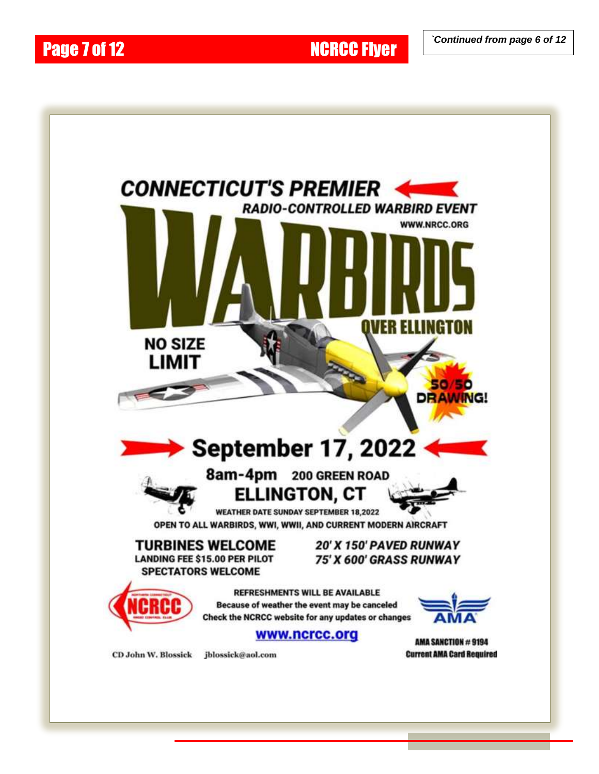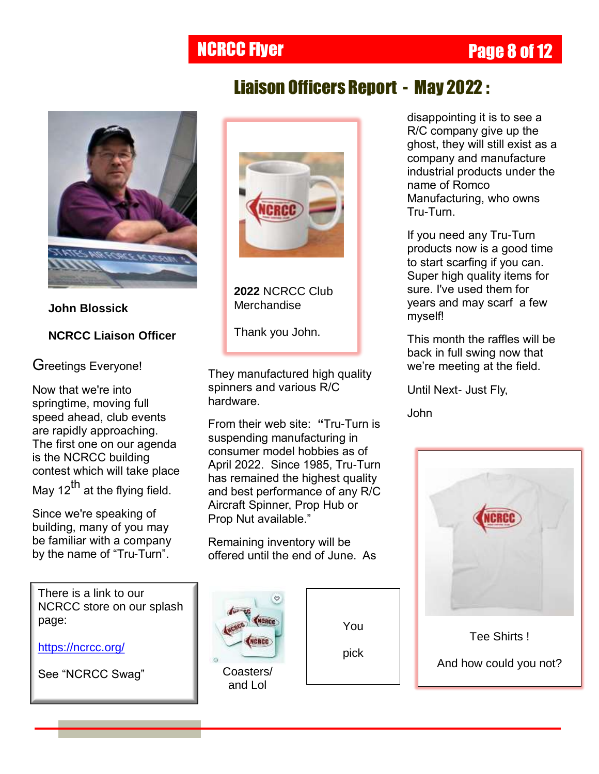# **NCRCC Flyer Page 8 of 12**



**John Blossick NCRCC Liaison Officer** Greetings Everyone!

Now that we're into springtime, moving full speed ahead, club events are rapidly approaching. The first one on our agenda is the NCRCC building contest which will take place

May 12<sup>th</sup> at the flying field.

Since we're speaking of building, many of you may be familiar with a company by the name of "Tru-Turn".

There is a link to our NCRCC store on our splash page:

<https://ncrcc.org/>

See "NCRCC Swag" **Coasters/** 



Liaison Officers Report - May 2022 :

**2022** NCRCC Club **Merchandise** 

Thank you John.

They manufactured high quality spinners and various R/C hardware.

From their web site: **"**Tru-Turn is suspending manufacturing in consumer model hobbies as of April 2022. Since 1985, Tru-Turn has remained the highest quality and best performance of any R/C Aircraft Spinner, Prop Hub or Prop Nut available."

Remaining inventory will be offered until the end of June. As



and Lol

You

pick

disappointing it is to see a R/C company give up the ghost, they will still exist as a company and manufacture industrial products under the name of Romco Manufacturing, who owns Tru-Turn.

If you need any Tru-Turn products now is a good time to start scarfing if you can. Super high quality items for sure. I've used them for years and may scarf a few myself!

This month the raffles will be back in full swing now that we"re meeting at the field.

Until Next- Just Fly,

John



Tee Shirts !

And how could you not?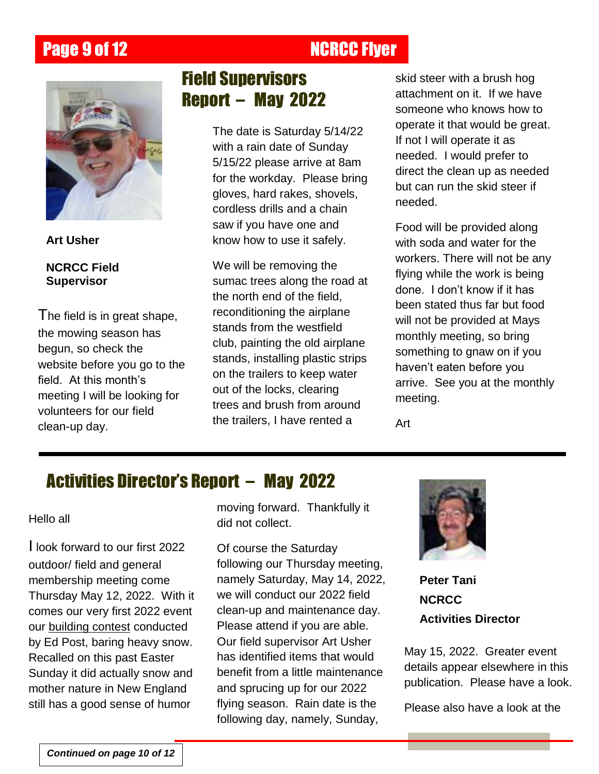# **Page 9 of 12 NCRCC Flyer**



**Art Usher**

**NCRCC Field Supervisor**

The field is in great shape, the mowing season has begun, so check the website before you go to the field. At this month's meeting I will be looking for volunteers for our field clean-up day.

# Field Supervisors Report – May 2022

The date is Saturday 5/14/22 with a rain date of Sunday 5/15/22 please arrive at 8am for the workday. Please bring gloves, hard rakes, shovels, cordless drills and a chain saw if you have one and know how to use it safely.

We will be removing the sumac trees along the road at the north end of the field, reconditioning the airplane stands from the westfield club, painting the old airplane stands, installing plastic strips on the trailers to keep water out of the locks, clearing trees and brush from around the trailers, I have rented a

skid steer with a brush hog attachment on it. If we have someone who knows how to operate it that would be great. If not I will operate it as needed. I would prefer to direct the clean up as needed but can run the skid steer if needed.

Food will be provided along with soda and water for the workers. There will not be any flying while the work is being done. I don"t know if it has been stated thus far but food will not be provided at Mays monthly meeting, so bring something to gnaw on if you haven"t eaten before you arrive. See you at the monthly meeting.

Art

# Activities Director's Report – May 2022

Hello all

I look forward to our first 2022 outdoor/ field and general membership meeting come Thursday May 12, 2022. With it comes our very first 2022 event our building contest conducted by Ed Post, baring heavy snow. Recalled on this past Easter Sunday it did actually snow and mother nature in New England still has a good sense of humor

moving forward. Thankfully it did not collect.

Of course the Saturday following our Thursday meeting, namely Saturday, May 14, 2022, we will conduct our 2022 field clean-up and maintenance day. Please attend if you are able. Our field supervisor Art Usher has identified items that would benefit from a little maintenance and sprucing up for our 2022 flying season. Rain date is the following day, namely, Sunday,



**Peter Tani NCRCC Activities Director**

May 15, 2022. Greater event details appear elsewhere in this publication. Please have a look.

Please also have a look at the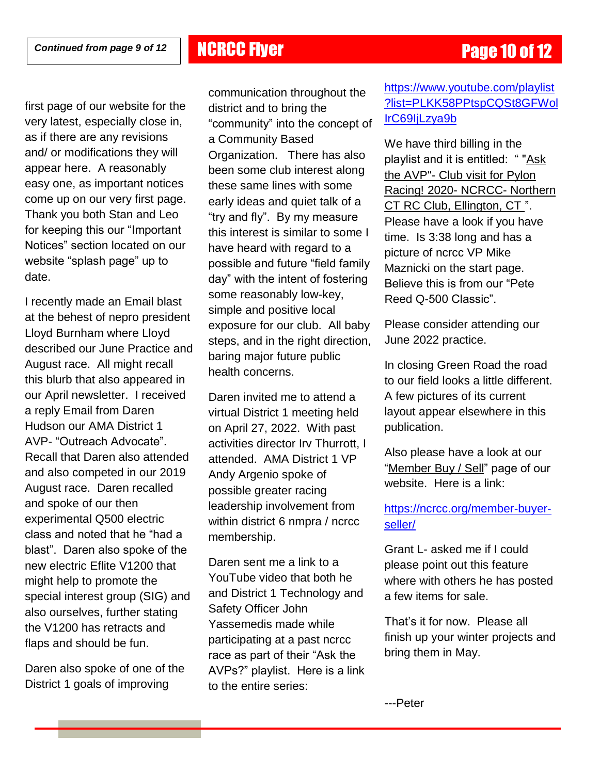first page of our website for the very latest, especially close in, as if there are any revisions and/ or modifications they will appear here. A reasonably easy one, as important notices come up on our very first page. Thank you both Stan and Leo for keeping this our "Important Notices" section located on our website "splash page" up to date.

I recently made an Email blast at the behest of nepro president Lloyd Burnham where Lloyd described our June Practice and August race. All might recall this blurb that also appeared in our April newsletter. I received a reply Email from Daren Hudson our AMA District 1 AVP- "Outreach Advocate". Recall that Daren also attended and also competed in our 2019 August race. Daren recalled and spoke of our then experimental Q500 electric class and noted that he "had a blast". Daren also spoke of the new electric Eflite V1200 that might help to promote the special interest group (SIG) and also ourselves, further stating the V1200 has retracts and flaps and should be fun.

Daren also spoke of one of the District 1 goals of improving

communication throughout the district and to bring the "community" into the concept of a Community Based Organization. There has also been some club interest along these same lines with some early ideas and quiet talk of a "try and fly". By my measure this interest is similar to some I have heard with regard to a possible and future "field family day" with the intent of fostering some reasonably low-key, simple and positive local exposure for our club. All baby steps, and in the right direction, baring major future public health concerns.

Daren invited me to attend a virtual District 1 meeting held on April 27, 2022. With past activities director Irv Thurrott, I attended. AMA District 1 VP Andy Argenio spoke of possible greater racing leadership involvement from within district 6 nmpra / ncrcc membership.

Daren sent me a link to a YouTube video that both he and District 1 Technology and Safety Officer John Yassemedis made while participating at a past ncrcc race as part of their "Ask the AVPs?" playlist. Here is a link to the entire series:

# [https://www.youtube.com/playlist](https://www.youtube.com/playlist?list=PLKK58PPtspCQSt8GFWolIrC69IjLzya9b) [?list=PLKK58PPtspCQSt8GFWol](https://www.youtube.com/playlist?list=PLKK58PPtspCQSt8GFWolIrC69IjLzya9b) [IrC69IjLzya9b](https://www.youtube.com/playlist?list=PLKK58PPtspCQSt8GFWolIrC69IjLzya9b)

We have third billing in the playlist and it is entitled: " "Ask the AVP"- Club visit for Pylon Racing! 2020- NCRCC- Northern CT RC Club, Ellington, CT ". Please have a look if you have time. Is 3:38 long and has a picture of ncrcc VP Mike Maznicki on the start page. Believe this is from our "Pete Reed Q-500 Classic".

Please consider attending our June 2022 practice.

In closing Green Road the road to our field looks a little different. A few pictures of its current layout appear elsewhere in this publication.

Also please have a look at our "Member Buy / Sell" page of our website. Here is a link:

## [https://ncrcc.org/member-buyer](https://ncrcc.org/member-buyer-seller/)[seller/](https://ncrcc.org/member-buyer-seller/)

Grant L- asked me if I could please point out this feature where with others he has posted a few items for sale.

That"s it for now. Please all finish up your winter projects and bring them in May.

---Peter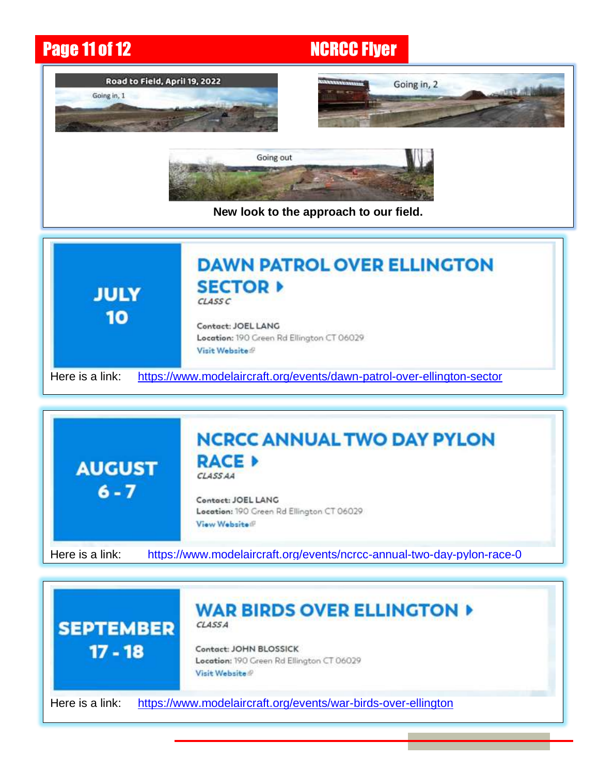# **Page 11 of 12 NCRCC Flyer**



**New look to the approach to our field.** 





### **WAR BIRDS OVER ELLINGTON » CLASSA**



 $17 - 18$ 

Contact: JOHN BLOSSICK Location: 190 Green Rd Ellington CT 06029 Visit Website

Here is a link: <https://www.modelaircraft.org/events/war-birds-over-ellington>